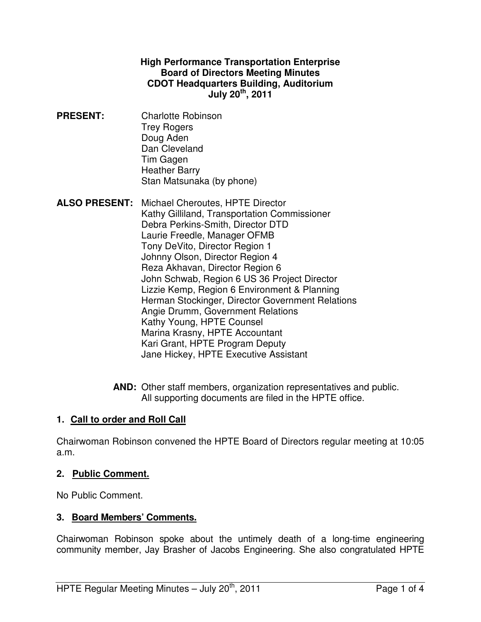#### **High Performance Transportation Enterprise Board of Directors Meeting Minutes CDOT Headquarters Building, Auditorium July 20th, 2011**

- **PRESENT:** Charlotte Robinson Trey Rogers Doug Aden Dan Cleveland Tim Gagen Heather Barry Stan Matsunaka (by phone)
- **ALSO PRESENT:** Michael Cheroutes, HPTE Director Kathy Gilliland, Transportation Commissioner Debra Perkins-Smith, Director DTD Laurie Freedle, Manager OFMB Tony DeVito, Director Region 1 Johnny Olson, Director Region 4 Reza Akhavan, Director Region 6 John Schwab, Region 6 US 36 Project Director Lizzie Kemp, Region 6 Environment & Planning Herman Stockinger, Director Government Relations Angie Drumm, Government Relations Kathy Young, HPTE Counsel Marina Krasny, HPTE Accountant Kari Grant, HPTE Program Deputy Jane Hickey, HPTE Executive Assistant
	- **AND:** Other staff members, organization representatives and public. All supporting documents are filed in the HPTE office.

### **1. Call to order and Roll Call**

Chairwoman Robinson convened the HPTE Board of Directors regular meeting at 10:05 a.m.

### **2. Public Comment.**

No Public Comment.

### **3. Board Members' Comments.**

Chairwoman Robinson spoke about the untimely death of a long-time engineering community member, Jay Brasher of Jacobs Engineering. She also congratulated HPTE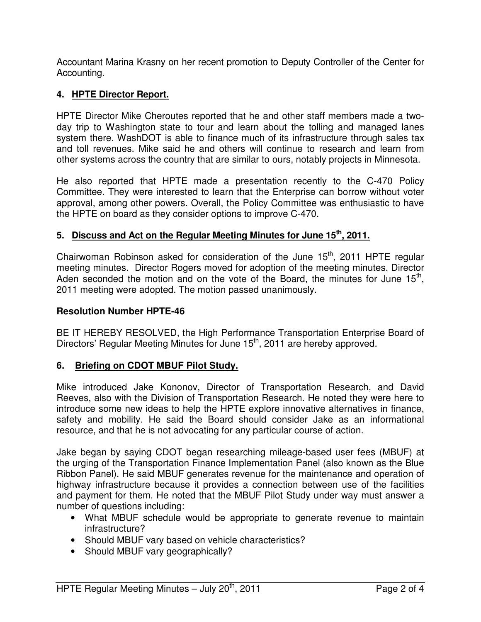Accountant Marina Krasny on her recent promotion to Deputy Controller of the Center for Accounting.

# **4. HPTE Director Report.**

HPTE Director Mike Cheroutes reported that he and other staff members made a twoday trip to Washington state to tour and learn about the tolling and managed lanes system there. WashDOT is able to finance much of its infrastructure through sales tax and toll revenues. Mike said he and others will continue to research and learn from other systems across the country that are similar to ours, notably projects in Minnesota.

He also reported that HPTE made a presentation recently to the C-470 Policy Committee. They were interested to learn that the Enterprise can borrow without voter approval, among other powers. Overall, the Policy Committee was enthusiastic to have the HPTE on board as they consider options to improve C-470.

### **5. Discuss and Act on the Regular Meeting Minutes for June 15th, 2011.**

Chairwoman Robinson asked for consideration of the June  $15<sup>th</sup>$ , 2011 HPTE regular meeting minutes. Director Rogers moved for adoption of the meeting minutes. Director Aden seconded the motion and on the vote of the Board, the minutes for June  $15<sup>th</sup>$ , 2011 meeting were adopted. The motion passed unanimously.

#### **Resolution Number HPTE-46**

BE IT HEREBY RESOLVED, the High Performance Transportation Enterprise Board of Directors' Regular Meeting Minutes for June 15<sup>th</sup>, 2011 are hereby approved.

### **6. Briefing on CDOT MBUF Pilot Study.**

Mike introduced Jake Kononov, Director of Transportation Research, and David Reeves, also with the Division of Transportation Research. He noted they were here to introduce some new ideas to help the HPTE explore innovative alternatives in finance, safety and mobility. He said the Board should consider Jake as an informational resource, and that he is not advocating for any particular course of action.

Jake began by saying CDOT began researching mileage-based user fees (MBUF) at the urging of the Transportation Finance Implementation Panel (also known as the Blue Ribbon Panel). He said MBUF generates revenue for the maintenance and operation of highway infrastructure because it provides a connection between use of the facilities and payment for them. He noted that the MBUF Pilot Study under way must answer a number of questions including:

- What MBUF schedule would be appropriate to generate revenue to maintain infrastructure?
- Should MBUF vary based on vehicle characteristics?
- Should MBUF vary geographically?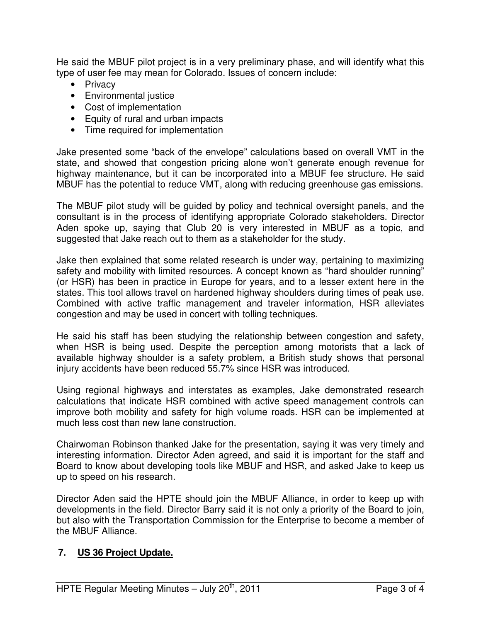He said the MBUF pilot project is in a very preliminary phase, and will identify what this type of user fee may mean for Colorado. Issues of concern include:

- Privacy
- Environmental justice
- Cost of implementation
- Equity of rural and urban impacts
- Time required for implementation

Jake presented some "back of the envelope" calculations based on overall VMT in the state, and showed that congestion pricing alone won't generate enough revenue for highway maintenance, but it can be incorporated into a MBUF fee structure. He said MBUF has the potential to reduce VMT, along with reducing greenhouse gas emissions.

The MBUF pilot study will be guided by policy and technical oversight panels, and the consultant is in the process of identifying appropriate Colorado stakeholders. Director Aden spoke up, saying that Club 20 is very interested in MBUF as a topic, and suggested that Jake reach out to them as a stakeholder for the study.

Jake then explained that some related research is under way, pertaining to maximizing safety and mobility with limited resources. A concept known as "hard shoulder running" (or HSR) has been in practice in Europe for years, and to a lesser extent here in the states. This tool allows travel on hardened highway shoulders during times of peak use. Combined with active traffic management and traveler information, HSR alleviates congestion and may be used in concert with tolling techniques.

He said his staff has been studying the relationship between congestion and safety, when HSR is being used. Despite the perception among motorists that a lack of available highway shoulder is a safety problem, a British study shows that personal injury accidents have been reduced 55.7% since HSR was introduced.

Using regional highways and interstates as examples, Jake demonstrated research calculations that indicate HSR combined with active speed management controls can improve both mobility and safety for high volume roads. HSR can be implemented at much less cost than new lane construction.

Chairwoman Robinson thanked Jake for the presentation, saying it was very timely and interesting information. Director Aden agreed, and said it is important for the staff and Board to know about developing tools like MBUF and HSR, and asked Jake to keep us up to speed on his research.

Director Aden said the HPTE should join the MBUF Alliance, in order to keep up with developments in the field. Director Barry said it is not only a priority of the Board to join, but also with the Transportation Commission for the Enterprise to become a member of the MBUF Alliance.

### **7. US 36 Project Update.**